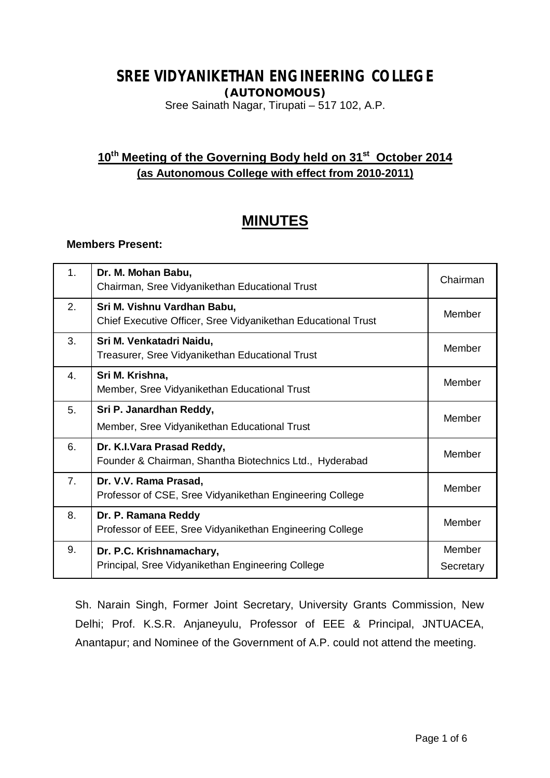# **SREE VIDYANIKETHAN ENGINEERING COLLEGE**

**(AUTONOMOUS)**

Sree Sainath Nagar, Tirupati – 517 102, A.P.

# **10th Meeting of the Governing Body held on 31 st October 2014 (as Autonomous College with effect from 2010-2011)**

# **MINUTES**

# **Members Present:**

| 1.             | Dr. M. Mohan Babu,<br>Chairman, Sree Vidyanikethan Educational Trust                         | Chairman            |
|----------------|----------------------------------------------------------------------------------------------|---------------------|
| 2.             | Sri M. Vishnu Vardhan Babu,<br>Chief Executive Officer, Sree Vidyanikethan Educational Trust | Member              |
| 3.             | Sri M. Venkatadri Naidu,<br>Treasurer, Sree Vidyanikethan Educational Trust                  | Member              |
| 4.             | Sri M. Krishna,<br>Member, Sree Vidyanikethan Educational Trust                              | Member              |
| 5.             | Sri P. Janardhan Reddy,<br>Member, Sree Vidyanikethan Educational Trust                      | Member              |
| 6.             | Dr. K.I.Vara Prasad Reddy,<br>Founder & Chairman, Shantha Biotechnics Ltd., Hyderabad        | Member              |
| 7 <sub>1</sub> | Dr. V.V. Rama Prasad,<br>Professor of CSE, Sree Vidyanikethan Engineering College            | Member              |
| 8.             | Dr. P. Ramana Reddy<br>Professor of EEE, Sree Vidyanikethan Engineering College              | Member              |
| 9.             | Dr. P.C. Krishnamachary,<br>Principal, Sree Vidyanikethan Engineering College                | Member<br>Secretary |

Sh. Narain Singh, Former Joint Secretary, University Grants Commission, New Delhi; Prof. K.S.R. Anjaneyulu, Professor of EEE & Principal, JNTUACEA, Anantapur; and Nominee of the Government of A.P. could not attend the meeting.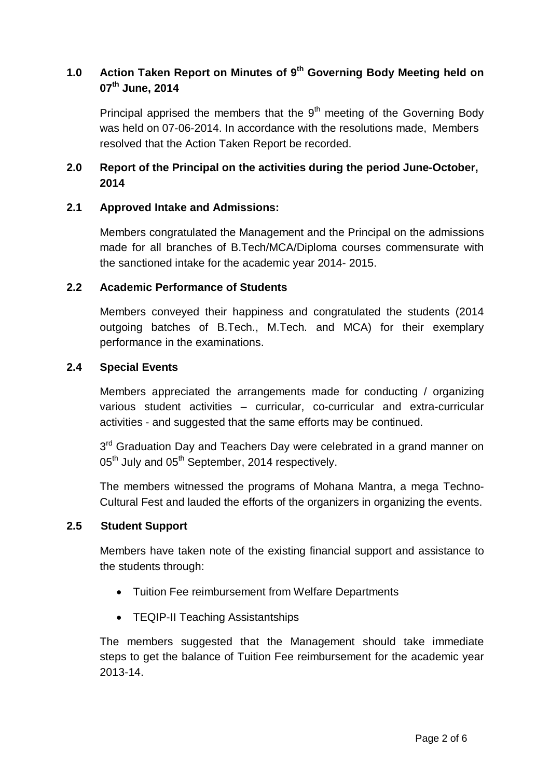# **1.0 Action Taken Report on Minutes of 9 th Governing Body Meeting held on 07th June, 2014**

Principal apprised the members that the  $9<sup>th</sup>$  meeting of the Governing Body was held on 07-06-2014. In accordance with the resolutions made, Members resolved that the Action Taken Report be recorded.

# **2.0 Report of the Principal on the activities during the period June-October, 2014**

# **2.1 Approved Intake and Admissions:**

Members congratulated the Management and the Principal on the admissions made for all branches of B.Tech/MCA/Diploma courses commensurate with the sanctioned intake for the academic year 2014- 2015.

# **2.2 Academic Performance of Students**

Members conveyed their happiness and congratulated the students (2014 outgoing batches of B.Tech., M.Tech. and MCA) for their exemplary performance in the examinations.

# **2.4 Special Events**

Members appreciated the arrangements made for conducting / organizing various student activities – curricular, co-curricular and extra-curricular activities - and suggested that the same efforts may be continued.

3<sup>rd</sup> Graduation Day and Teachers Day were celebrated in a grand manner on 05<sup>th</sup> July and 05<sup>th</sup> September, 2014 respectively.

The members witnessed the programs of Mohana Mantra, a mega Techno-Cultural Fest and lauded the efforts of the organizers in organizing the events.

# **2.5 Student Support**

Members have taken note of the existing financial support and assistance to the students through:

- Tuition Fee reimbursement from Welfare Departments
- TEQIP-II Teaching Assistantships

The members suggested that the Management should take immediate steps to get the balance of Tuition Fee reimbursement for the academic year 2013-14.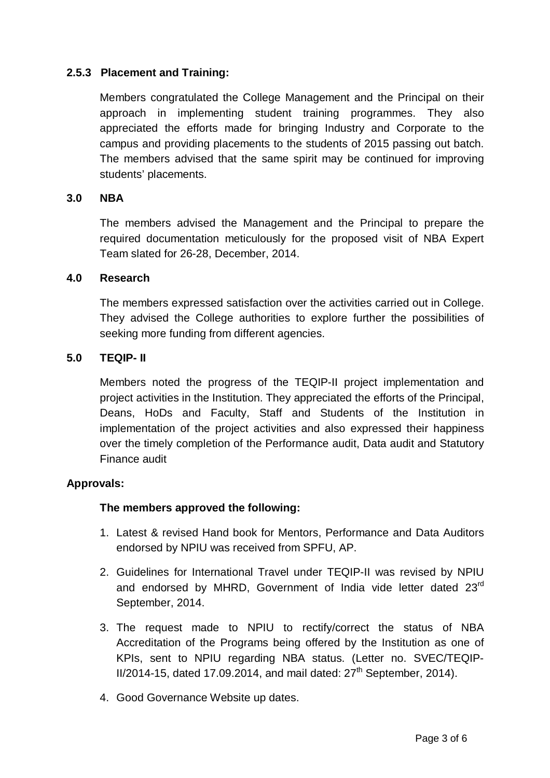# **2.5.3 Placement and Training:**

Members congratulated the College Management and the Principal on their approach in implementing student training programmes. They also appreciated the efforts made for bringing Industry and Corporate to the campus and providing placements to the students of 2015 passing out batch. The members advised that the same spirit may be continued for improving students' placements.

# **3.0 NBA**

The members advised the Management and the Principal to prepare the required documentation meticulously for the proposed visit of NBA Expert Team slated for 26-28, December, 2014.

#### **4.0 Research**

The members expressed satisfaction over the activities carried out in College. They advised the College authorities to explore further the possibilities of seeking more funding from different agencies.

#### **5.0 TEQIP- II**

Members noted the progress of the TEQIP-II project implementation and project activities in the Institution. They appreciated the efforts of the Principal, Deans, HoDs and Faculty, Staff and Students of the Institution in implementation of the project activities and also expressed their happiness over the timely completion of the Performance audit, Data audit and Statutory Finance audit

# **Approvals:**

# **The members approved the following:**

- 1. Latest & revised Hand book for Mentors, Performance and Data Auditors endorsed by NPIU was received from SPFU, AP.
- 2. Guidelines for International Travel under TEQIP-II was revised by NPIU and endorsed by MHRD, Government of India vide letter dated 23<sup>rd</sup> September, 2014.
- 3. The request made to NPIU to rectify/correct the status of NBA Accreditation of the Programs being offered by the Institution as one of KPIs, sent to NPIU regarding NBA status. (Letter no. SVEC/TEQIP- $II/2014-15$ , dated 17.09.2014, and mail dated:  $27<sup>th</sup>$  September, 2014).
- 4. Good Governance Website up dates.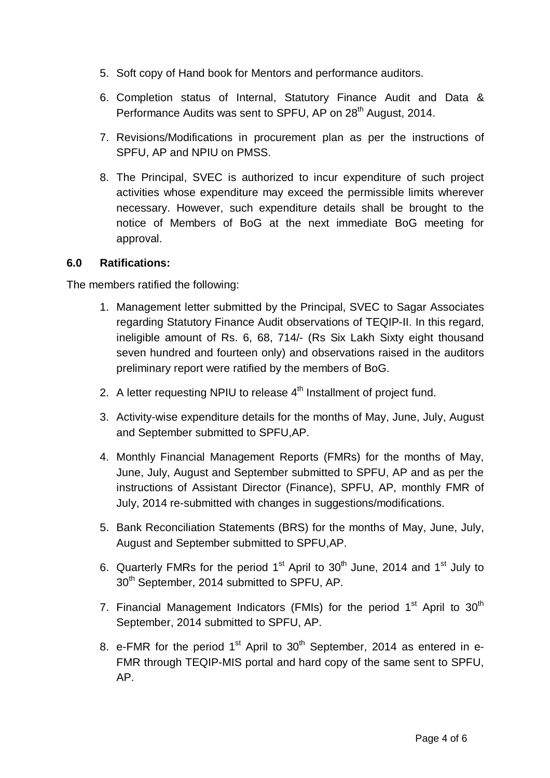- 5. Soft copy of Hand book for Mentors and performance auditors.
- 6. Completion status of Internal, Statutory Finance Audit and Data & Performance Audits was sent to SPFU. AP on 28<sup>th</sup> August, 2014.
- 7. Revisions/Modifications in procurement plan as per the instructions of SPFU, AP and NPIU on PMSS.
- 8. The Principal, SVEC is authorized to incur expenditure of such project activities whose expenditure may exceed the permissible limits wherever necessary. However, such expenditure details shall be brought to the notice of Members of BoG at the next immediate BoG meeting for approval.

# **6.0 Ratifications:**

The members ratified the following:

- 1. Management letter submitted by the Principal, SVEC to Sagar Associates regarding Statutory Finance Audit observations of TEQIP-II. In this regard, ineligible amount of Rs. 6, 68, 714/- (Rs Six Lakh Sixty eight thousand seven hundred and fourteen only) and observations raised in the auditors preliminary report were ratified by the members of BoG.
- 2. A letter requesting NPIU to release  $4<sup>th</sup>$  Installment of project fund.
- 3. Activity-wise expenditure details for the months of May, June, July, August and September submitted to SPFU,AP.
- 4. Monthly Financial Management Reports (FMRs) for the months of May, June, July, August and September submitted to SPFU, AP and as per the instructions of Assistant Director (Finance), SPFU, AP, monthly FMR of July, 2014 re-submitted with changes in suggestions/modifications.
- 5. Bank Reconciliation Statements (BRS) for the months of May, June, July, August and September submitted to SPFU,AP.
- 6. Quarterly FMRs for the period  $1<sup>st</sup>$  April to  $30<sup>th</sup>$  June, 2014 and  $1<sup>st</sup>$  July to 30<sup>th</sup> September, 2014 submitted to SPFU, AP.
- 7. Financial Management Indicators (FMIs) for the period  $1<sup>st</sup>$  April to  $30<sup>th</sup>$ September, 2014 submitted to SPFU, AP.
- 8. e-FMR for the period  $1<sup>st</sup>$  April to  $30<sup>th</sup>$  September, 2014 as entered in e-FMR through TEQIP-MIS portal and hard copy of the same sent to SPFU, AP.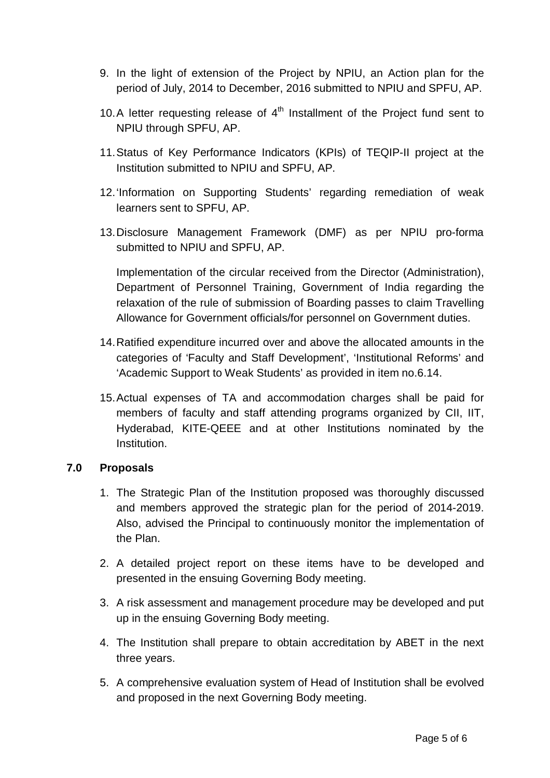- 9. In the light of extension of the Project by NPIU, an Action plan for the period of July, 2014 to December, 2016 submitted to NPIU and SPFU, AP.
- 10.A letter requesting release of  $4<sup>th</sup>$  Installment of the Project fund sent to NPIU through SPFU, AP.
- 11.Status of Key Performance Indicators (KPIs) of TEQIP-II project at the Institution submitted to NPIU and SPFU, AP.
- 12.'Information on Supporting Students' regarding remediation of weak learners sent to SPFU, AP.
- 13.Disclosure Management Framework (DMF) as per NPIU pro-forma submitted to NPIU and SPFU, AP.

Implementation of the circular received from the Director (Administration), Department of Personnel Training, Government of India regarding the relaxation of the rule of submission of Boarding passes to claim Travelling Allowance for Government officials/for personnel on Government duties.

- 14.Ratified expenditure incurred over and above the allocated amounts in the categories of 'Faculty and Staff Development', 'Institutional Reforms' and 'Academic Support to Weak Students' as provided in item no.6.14.
- 15.Actual expenses of TA and accommodation charges shall be paid for members of faculty and staff attending programs organized by CII, IIT, Hyderabad, KITE-QEEE and at other Institutions nominated by the Institution.

# **7.0 Proposals**

- 1. The Strategic Plan of the Institution proposed was thoroughly discussed and members approved the strategic plan for the period of 2014-2019. Also, advised the Principal to continuously monitor the implementation of the Plan.
- 2. A detailed project report on these items have to be developed and presented in the ensuing Governing Body meeting.
- 3. A risk assessment and management procedure may be developed and put up in the ensuing Governing Body meeting.
- 4. The Institution shall prepare to obtain accreditation by ABET in the next three years.
- 5. A comprehensive evaluation system of Head of Institution shall be evolved and proposed in the next Governing Body meeting.